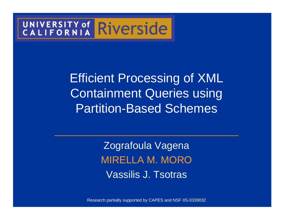# UNIVERSITY of Riverside

Efficient Processing of XML Containment Queries using Partition-Based Schemes

> Zografoula VagenaMIRELLA M. MOROVassilis J. Tsotras

Research partially supported by CAPES and NSF IIS-0339032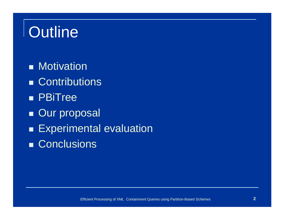## **Outline**

- ■ Motivation
- ■ Contributions
- ■ PBiTree
- ■ Our proposal
- $\blacksquare$ Experimental evaluation
- ■ Conclusions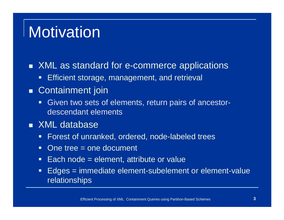#### **Motivation**

#### ■ XML as standard for e-commerce applications

-Efficient storage, management, and retrieval

#### ■ Containment join

 Given two sets of elements, return pairs of ancestor-descendant elements

#### ■ XML database

- **Forest of unranked, ordered, node-labeled trees**  $\blacksquare$
- $\Box$ One tree = one document
- $\Box$ Each node = element, attribute or value
- - Edges = immediate element-subelement or element-valuerelationships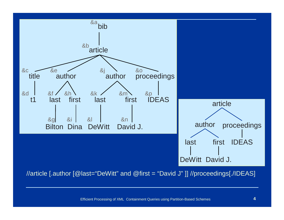

//article [.author [@last="DeWitt" and @first = "David J" ]] //proceedings[./IDEAS]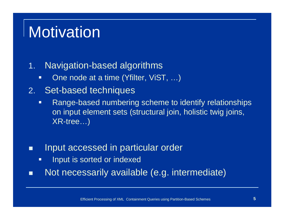### **Motivation**

#### 1.Navigation-based algorithms

- $\Box$ One node at a time (Yfilter, ViST, …)
- 2.Set-based techniques
	- $\Box$  Range-based numbering scheme to identify relationships on input element sets (structural join, holistic twig joins, XR-tree…)
- П Input accessed in particular order
	- $\Box$ Input is sorted or indexed
- П Not necessarily available (e.g. intermediate)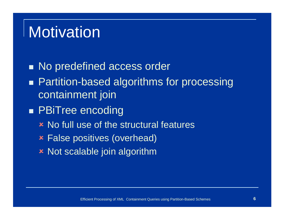#### **Motivation**

■ No predefined access order

- ■ Partition-based algorithms for processing containment join
- ■ PBiTree encoding
	- No full use of the structural features
	- False positives (overhead)
	- Not scalable join algorithm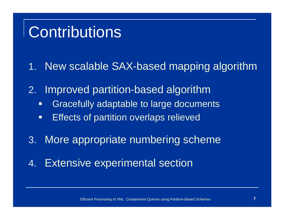#### **Contributions**

- 1. New scalable SAX-based mapping algorithm
- 2. Improved partition-based algorithm
	- **•** Gracefully adaptable to large documents  $\Box$
	- -Effects of partition overlaps relieved
- 3.More appropriate numbering scheme
- 4.Extensive experimental section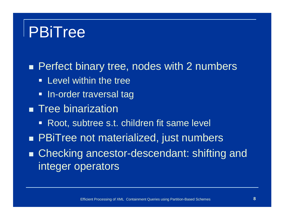#### PBiTree

■ Perfect binary tree, nodes with 2 numbers

- **-** Level within the tree
- In-order traversal tag
- $\blacksquare$  Tree binarization
	- Root, subtree s.t. children fit same level
- ■ PBiTree not materialized, just numbers

■ Checking ancestor-descendant: shifting and integer operators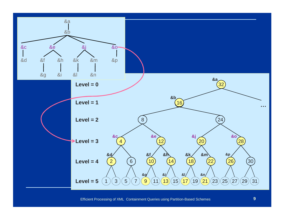

Efficient Processing of XML Containment Queries using Partition-Based Schemes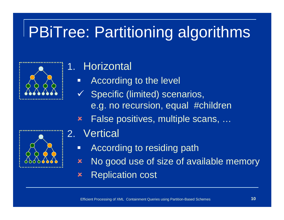## PBiTree: Partitioning algorithms

#### 1.**Horizontal**

- $\Box$ According to the level
- $\checkmark$  Specific (limited) scenarios, e.g. no recursion, equal #children
- $\bm{x}$ False positives, multiple scans, …



- 2.**Vertical** 
	- -According to residing path
	- $\boldsymbol{\mathsf{x}}$  No good use of size of available memory  $\bm{x}$ Replication cost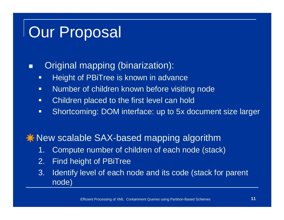#### П Original mapping (binarization):

- $\Box$ Height of PBiTree is known in advance
- $\Box$ Number of children known before visiting node
- $\Box$ Children placed to the first level can hold
- $\blacksquare$ Shortcoming: DOM interface: up to 5x document size larger

 $\bigstar$  **New scalable SAX-based mapping algorithm** 

- Compute number of children of each node (stack)1.
- 2.Find height of PBiTree
- 3. Identify level of each node and its code (stack for parent node)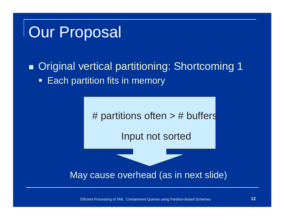#### $\blacksquare$  Original vertical partitioning: Shortcoming 1**-** Each partition fits in memory



Efficient Processing of XML Containment Queries using Partition-Based Schemes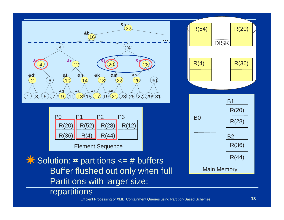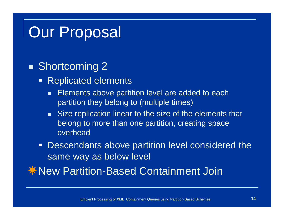#### ■ Shortcoming 2

- Replicated elements
	- п Elements above partition level are added to each partition they belong to (multiple times)
	- Size replication linear to the size of the elements that belong to more than one partition, creating space overhead
- **Descendants above partition level considered the** same way as below level
- $*$  **New Partition-Based Containment Join**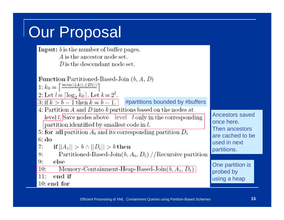**Input:**  $b$  is the number of buffer pages. A is the ancestor node set.  $D$  is the descendant node set.

**Function** Partitioned-Based-Join  $(b, A, D)$ 

1:  $k_0 = \left[\frac{min(||A||, ||D||)}{h}\right]$ 

2: Let  $l = \lceil \log_2 k_0 \rceil$ . Let  $k = 2^l$ .

3: if  $k > b - 1$  then  $k = b - 1$ . #partitions bounded by #buffers

4: Partition  $A$  and  $D$  into  $k$  partitions based on the nodes at  $\lceil \frac{\text{level}}{\text{depth}} \rceil \cdot \rceil$  and  $\lceil \frac{\text{Anceators saved}}{\text{area here}} \rceil$ 

5: for all partition  $A_i$  and its corresponding partition  $D_i$  $6: d<sub>o</sub>$ 

 $7:$ if  $||A_i|| > b \wedge ||D_i|| > b$  then

Partitioned-Based-Join $(b, A_i, D_i)$  //Recursive partition 8:

9: else

Memory-Containment-Heap-Based-Join $(b, A_i, D_i)$  $10:$ 

 $11:$ end if

 $10:$  end for

once here.Then ancestors are cached to be used in next partitions.

One partition is probed by using a heap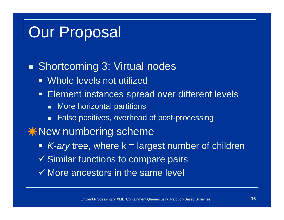#### ■ Shortcoming 3: Virtual nodes

- Whole levels not utilized
- $\Box$  Element instances spread over different levels
	- More horizontal partitions
	- False positives, overhead of post-processing
- $\bigstar$  **New numbering scheme** 
	- K-ary tree, where k = largest number of children
	- $\checkmark$  Similar functions to compare pairs
	- $\checkmark$  More ancestors in the same level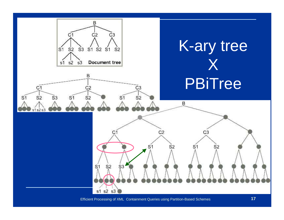

Efficient Processing of XML Containment Queries using Partition-Based Schemes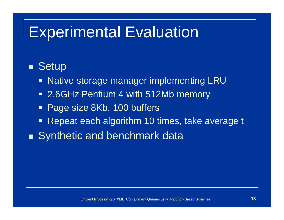#### Experimental Evaluation

#### ■ Setup

- Native storage manager implementing LRU
- 2.6GHz Pentium 4 with 512Mb memory
- $\Box$ Page size 8Kb, 100 buffers
- $\Box$ Repeat each algorithm 10 times, take average t
- ■ Synthetic and benchmark data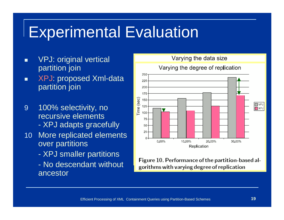#### Experimental Evaluation

- П VPJ: original vertical partition join
- XPJ: proposed Xml-data П partition join
- 9 100% selectivity, no recursive elements -XPJ adapts gracefully
- 10 More replicated elements over partitions
	- XPJ smaller partitions
	- $\mathcal{L}_{\mathcal{A}}$  No descendant without ancestor



Figure 10. Performance of the partition-based algorithms with varying degree of replication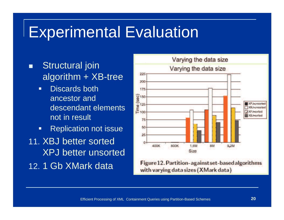#### Experimental Evaluation

- П Structural join algorithm  $+$  XB-tree
	- $\Box$  Discards both ancestor and descendant elements not in result
	- $\blacksquare$ Replication not issue
- 11. XBJ better sorted XPJ better unsorted12. 1 Gb XMark data

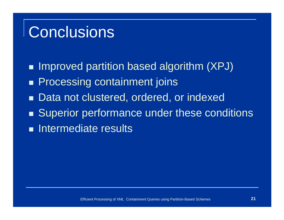### **Conclusions**

 $\blacksquare$  Improved partition based algorithm (XPJ)

- ■ Processing containment joins
- ■ Data not clustered, ordered, or indexed
- ■ Superior performance under these conditions
- **Intermediate results**